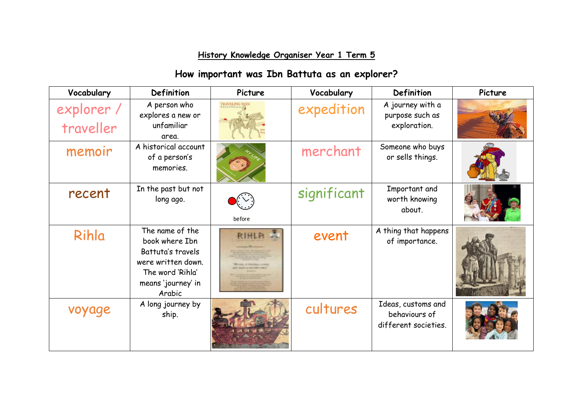## **History Knowledge Organiser Year 1 Term 5**

## **How important was Ibn Battuta as an explorer?**

| Vocabulary              | <b>Definition</b>                                                                                                                | Picture              | Vocabulary  | Definition                                                  | Picture |
|-------------------------|----------------------------------------------------------------------------------------------------------------------------------|----------------------|-------------|-------------------------------------------------------------|---------|
| explorer /<br>traveller | A person who<br>explores a new or<br>unfamiliar<br>area.                                                                         | <b>TRAVELING MAN</b> | expedition  | A journey with a<br>purpose such as<br>exploration.         |         |
| memoir                  | A historical account<br>of a person's<br>memories.                                                                               |                      | merchant    | Someone who buys<br>or sells things.                        |         |
| recent                  | In the past but not<br>long ago.                                                                                                 | before               | significant | Important and<br>worth knowing<br>about.                    |         |
| Rihla                   | The name of the<br>book where Ibn<br>Battuta's travels<br>were written down.<br>The word 'Rihla'<br>means 'journey' in<br>Arabic | RIHLA                | event       | A thing that happens<br>of importance.                      |         |
| voyage                  | A long journey by<br>ship.                                                                                                       |                      | cultures    | Ideas, customs and<br>behaviours of<br>different societies. |         |